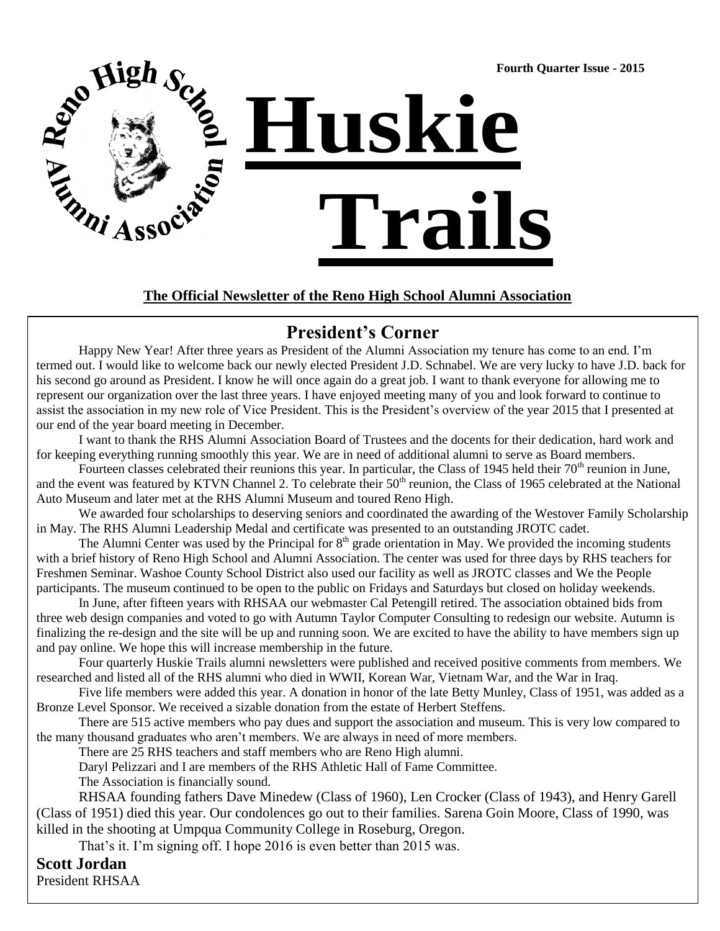Rep High Sex of  **Fourth Quarter Issue - 2015 Huskie Trails** 

**The Official Newsletter of the Reno High School Alumni Association**

## **President's Corner**

Happy New Year! After three years as President of the Alumni Association my tenure has come to an end. I'm termed out. I would like to welcome back our newly elected President J.D. Schnabel. We are very lucky to have J.D. back for his second go around as President. I know he will once again do a great job. I want to thank everyone for allowing me to represent our organization over the last three years. I have enjoyed meeting many of you and look forward to continue to assist the association in my new role of Vice President. This is the President's overview of the year 2015 that I presented at our end of the year board meeting in December.

I want to thank the RHS Alumni Association Board of Trustees and the docents for their dedication, hard work and for keeping everything running smoothly this year. We are in need of additional alumni to serve as Board members.

Fourteen classes celebrated their reunions this year. In particular, the Class of 1945 held their  $70<sup>th</sup>$  reunion in June, and the event was featured by KTVN Channel 2. To celebrate their  $50<sup>th</sup>$  reunion, the Class of 1965 celebrated at the National Auto Museum and later met at the RHS Alumni Museum and toured Reno High.

We awarded four scholarships to deserving seniors and coordinated the awarding of the Westover Family Scholarship in May. The RHS Alumni Leadership Medal and certificate was presented to an outstanding JROTC cadet.

The Alumni Center was used by the Principal for 8<sup>th</sup> grade orientation in May. We provided the incoming students with a brief history of Reno High School and Alumni Association. The center was used for three days by RHS teachers for Freshmen Seminar. Washoe County School District also used our facility as well as JROTC classes and We the People participants. The museum continued to be open to the public on Fridays and Saturdays but closed on holiday weekends.

In June, after fifteen years with RHSAA our webmaster Cal Petengill retired. The association obtained bids from three web design companies and voted to go with Autumn Taylor Computer Consulting to redesign our website. Autumn is finalizing the re-design and the site will be up and running soon. We are excited to have the ability to have members sign up and pay online. We hope this will increase membership in the future.

Four quarterly Huskie Trails alumni newsletters were published and received positive comments from members. We researched and listed all of the RHS alumni who died in WWII, Korean War, Vietnam War, and the War in Iraq.

Five life members were added this year. A donation in honor of the late Betty Munley, Class of 1951, was added as a Bronze Level Sponsor. We received a sizable donation from the estate of Herbert Steffens.

There are 515 active members who pay dues and support the association and museum. This is very low compared to the many thousand graduates who aren't members. We are always in need of more members.

There are 25 RHS teachers and staff members who are Reno High alumni.

Daryl Pelizzari and I are members of the RHS Athletic Hall of Fame Committee.

The Association is financially sound.

RHSAA founding fathers Dave Minedew (Class of 1960), Len Crocker (Class of 1943), and Henry Garell (Class of 1951) died this year. Our condolences go out to their families. Sarena Goin Moore, Class of 1990, was killed in the shooting at Umpqua Community College in Roseburg, Oregon.

That's it. I'm signing off. I hope 2016 is even better than 2015 was.

#### **Scott Jordan**

President RHSAA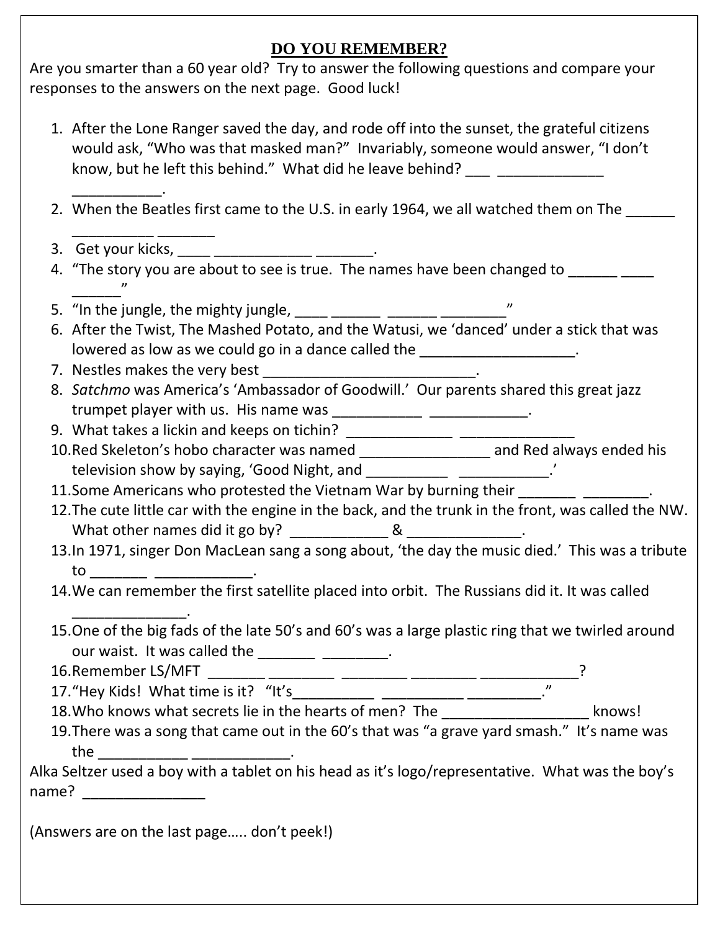### **DO YOU REMEMBER?**

Are you smarter than a 60 year old? Try to answer the following questions and compare your responses to the answers on the next page. Good luck!

- 1. After the Lone Ranger saved the day, and rode off into the sunset, the grateful citizens would ask, "Who was that masked man?" Invariably, someone would answer, "I don't know, but he left this behind." What did he leave behind? \_\_\_\_\_\_\_\_\_\_\_. 2. When the Beatles first came to the U.S. in early 1964, we all watched them on The \_\_\_\_\_\_\_\_\_\_ \_\_\_\_\_\_\_ 3. Get your kicks, \_\_\_\_ \_\_\_\_\_\_\_\_\_\_\_\_\_\_\_\_\_\_\_\_\_\_. 4. "The story you are about to see is true. The names have been changed to \_\_\_\_\_\_ \_\_\_\_\_\_" 5. "In the jungle, the mighty jungle, \_\_\_\_\_ \_\_\_\_\_\_ \_\_\_\_\_\_\_ \_\_\_\_\_\_\_\_\_\_\_\_\_" 6. After the Twist, The Mashed Potato, and the Watusi, we 'danced' under a stick that was lowered as low as we could go in a dance called the \_\_\_\_\_\_\_\_\_\_\_\_\_\_\_\_\_\_\_\_.
- 7. Nestles makes the very best \_\_\_\_\_\_\_\_\_\_\_\_\_\_\_\_\_\_\_\_\_\_\_\_\_\_.
- 8. *Satchmo* was America's 'Ambassador of Goodwill.' Our parents shared this great jazz trumpet player with us. His name was  $\frac{1}{\frac{1}{1-\frac{1}{1-\frac{1}{1-\frac{1}{1-\frac{1}{1-\frac{1}{1-\frac{1}{1-\frac{1}{1-\frac{1}{1-\frac{1}{1-\frac{1}{1-\frac{1}{1-\frac{1}{1-\frac{1}{1-\frac{1}{1-\frac{1}{1-\frac{1}{1-\frac{1}{1-\frac{1}{1-\frac{1}{1-\frac{1}{1-\frac{1}{1-\frac{1}{1-\frac{1}{1-\frac{1}{1-\frac{1}{1-\frac{1}{1-\frac{1}{1-\frac{1}{1-\frac{1$
- 9. What takes a lickin and keeps on tichin? \_\_\_\_\_\_\_\_\_\_\_\_\_ \_\_\_\_\_\_\_\_\_\_\_\_\_\_
- 10.Red Skeleton's hobo character was named \_\_\_\_\_\_\_\_\_\_\_\_\_\_\_\_ and Red always ended his television show by saying, 'Good Night, and \_\_\_\_\_\_\_\_\_\_\_\_\_\_\_\_\_\_\_\_\_\_\_\_\_\_.'
- 11. Some Americans who protested the Vietnam War by burning their
- 12.The cute little car with the engine in the back, and the trunk in the front, was called the NW. What other names did it go by?  $\sim$  8
- 13.In 1971, singer Don MacLean sang a song about, 'the day the music died.' This was a tribute  $to$   $\Box$
- 14.We can remember the first satellite placed into orbit. The Russians did it. It was called
- \_\_\_\_\_\_\_\_\_\_\_\_\_\_. 15.One of the big fads of the late 50's and 60's was a large plastic ring that we twirled around our waist. It was called the \_\_\_\_\_\_\_\_\_\_\_\_\_\_\_\_\_\_.
- 16.Remember LS/MFT \_\_\_\_\_\_\_ \_\_\_\_\_\_\_\_ \_\_\_\_\_\_\_\_ \_\_\_\_\_\_\_\_ \_\_\_\_\_\_\_\_\_\_\_\_?
- 17."Hey Kids! What time is it? "It's\_\_\_\_\_\_\_\_\_\_ \_\_\_\_\_\_\_\_\_\_ \_\_\_\_\_\_\_\_\_."
- 18.Who knows what secrets lie in the hearts of men? The \_\_\_\_\_\_\_\_\_\_\_\_\_\_\_\_\_\_\_\_\_\_\_\_ knows!
- 19.There was a song that came out in the 60's that was "a grave yard smash." It's name was the \_\_\_\_\_\_\_\_\_\_\_ \_\_\_\_\_\_\_\_\_\_\_\_.

Alka Seltzer used a boy with a tablet on his head as it's logo/representative. What was the boy's name?

(Answers are on the last page….. don't peek!)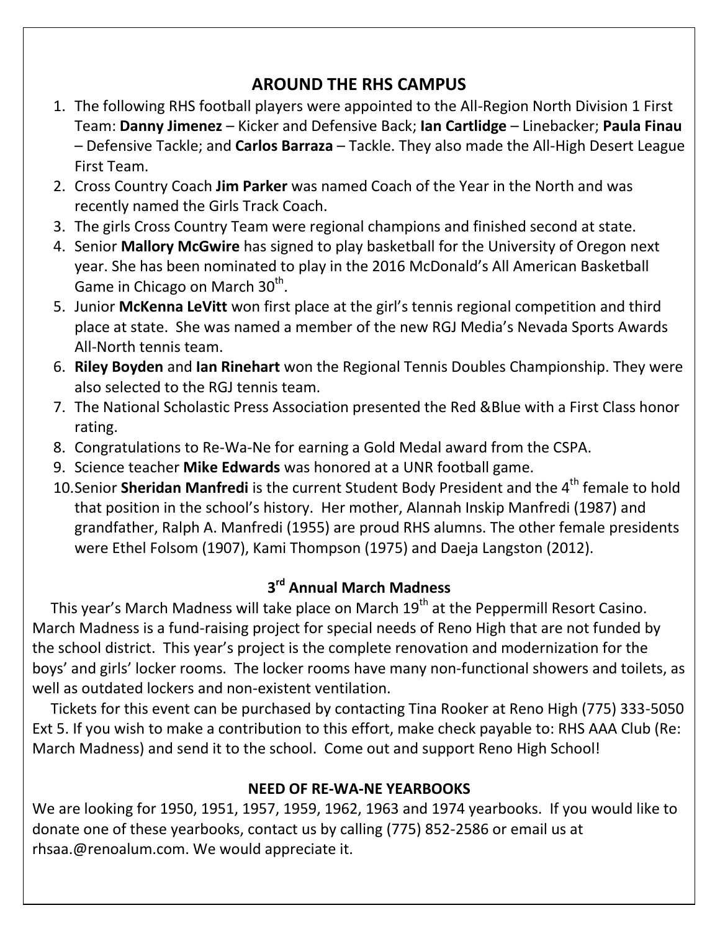# **AROUND THE RHS CAMPUS**

- **–** Defensive Tackle; and **Carlos Barraza** Tackle. They also made the All-High Desert League<br>First Team 1. On September 10, the Nevada Supreme Court held hearings in the Reno High School Gym. Junior and Senior 1. The following RHS football players were appointed to the All-Region North Division 1 First Team: **Danny Jimenez** – Kicker and Defensive Back; **Ian Cartlidge** – Linebacker; **Paula Finau** First Team.
- 2. Cross Country Coach **Jim Parker** was named Coach of the Year in the North and was recently named the Girls Track Coach. The state of 1970, and 1970, and 1970, and 1970, and 1970, are both Reno
- 3. The girls Cross Country Team were regional champions and finished second at state.
- 2. Crystal Edwards (Class of 2000), and Leadership Advisor, was awarded Kristal Edwards and Leadership Advisor, 4. Senior **Mallory McGwire** has signed to play basketball for the University of Oregon next year. She has been nominated to play in the 2016 McDonald's All American Basketball Game in Chicago on March 30<sup>th</sup>.
- injor McKonna LoVitt won first place at the girl's tonnis regional competition and third 5. Junior **McKenna LeVitt** won first place at the girl's tennis regional competition and third. place at state. She was named a member of the new RGJ Media's Nevada Sports Awards All-North tennis team. The only female SAI in the only female SAI in the school of the school of the school of the school of the school of the school of the school of the school of the school of the school of the school of
- 6. Riley Boyden and lan Rinehart won the Regional Tennis Doubles Championship. They were also selected to the RGJ tennis team.
- 7. The National Scholastic Press Association presented the Red &Blue with a First Class honor rating.
- 8. Congratulations to Re-Wa-Ne for earning a Gold Medal award from the CSPA.
- 9. Science teacher **Mike Edwards** was honored at a UNR football game.
- 10.Senior Sheridan Manfredi is the current Student Body President and the 4<sup>th</sup> female to hold that position in the school's history. Her mother, Alannah Inskip Manfredi (1987) and grandfather, Ralph A. Manfredi (1955) are proud RHS alumns. The other female presidents were Ethel Folsom (1907), Kami Thompson (1975) and Daeja Langston (2012).

## **3 rd Annual March Madness**

This year's March Madness will take place on March  $19<sup>th</sup>$  at the Peppermill Resort Casino. March Madness is a fund-raising project for special needs of Reno High that are not funded by the school district. This year's project is the complete renovation and modernization for the boys' and girls' locker rooms. The locker rooms have many non-functional showers and toilets, as well as outdated lockers and non-existent ventilation.

 Tickets for this event can be purchased by contacting Tina Rooker at Reno High (775) 333-5050 Ext 5. If you wish to make a contribution to this effort, make check payable to: RHS AAA Club (Re: March Madness) and send it to the school. Come out and support Reno High School!

### **NEED OF RE-WA-NE YEARBOOKS**

We are looking for 1950, 1951, 1957, 1959, 1962, 1963 and 1974 yearbooks. If you would like to donate one of these yearbooks, contact us by calling (775) 852-2586 or email us at rhsaa.@renoalum.com. We would appreciate it.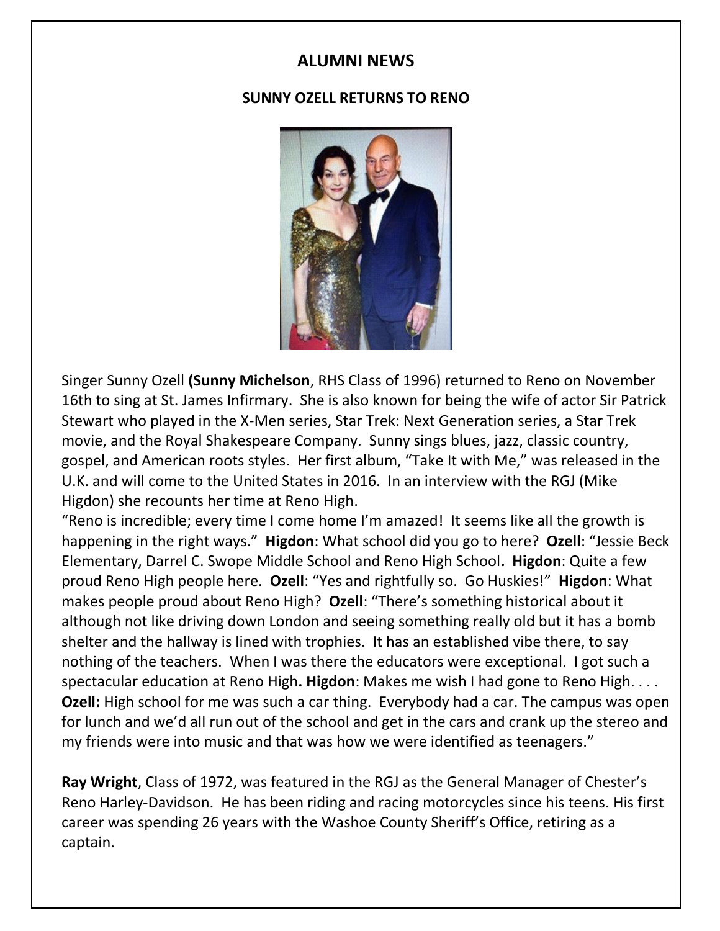# **2014 RHSAA SCHOLARSHIP WINNERS ALUMNI NEWS**

#### **SUNNY OZELL RETURNS TO RENO**



Singer Sunny Ozell **(Sunny Michelson**, RHS Class of 1996) returned to Reno on November 16th to sing at St. James Infirmary. She is also known for being the wife of actor Sir Patrick Stewart who played in the X-Men series, Star Trek: Next Generation series, a Star Trek movie, and the Royal Shakespeare Company. Sunny sings blues, jazz, classic country, gospel, and American roots styles. Her first album, "Take It with Me," was released in the U.K. and will come to the United States in 2016. In an interview with the RGJ (Mike Higdon) she recounts her time at Reno High.

"Reno is incredible; every time I come home I'm amazed! It seems like all the growth is happening in the right ways." **Higdon**: What school did you go to here? **Ozell**: "Jessie Beck Elementary, Darrel C. Swope Middle School and Reno High School**. Higdon**: Quite a few proud Reno High people here. **Ozell**: "Yes and rightfully so. Go Huskies!" **Higdon**: What makes people proud about Reno High? **Ozell**: "There's something historical about it although not like driving down London and seeing something really old but it has a bomb shelter and the hallway is lined with trophies. It has an established vibe there, to say nothing of the teachers. When I was there the educators were exceptional. I got such a spectacular education at Reno High**. Higdon**: Makes me wish I had gone to Reno High. . . . **Ozell:** High school for me was such a car thing. Everybody had a car. The campus was open for lunch and we'd all run out of the school and get in the cars and crank up the stereo and my friends were into music and that was how we were identified as teenagers."

**Ray Wright**, Class of 1972, was featured in the RGJ as the General Manager of Chester's Reno Harley-Davidson. He has been riding and racing motorcycles since his teens. His first career was spending 26 years with the Washoe County Sheriff's Office, retiring as a captain.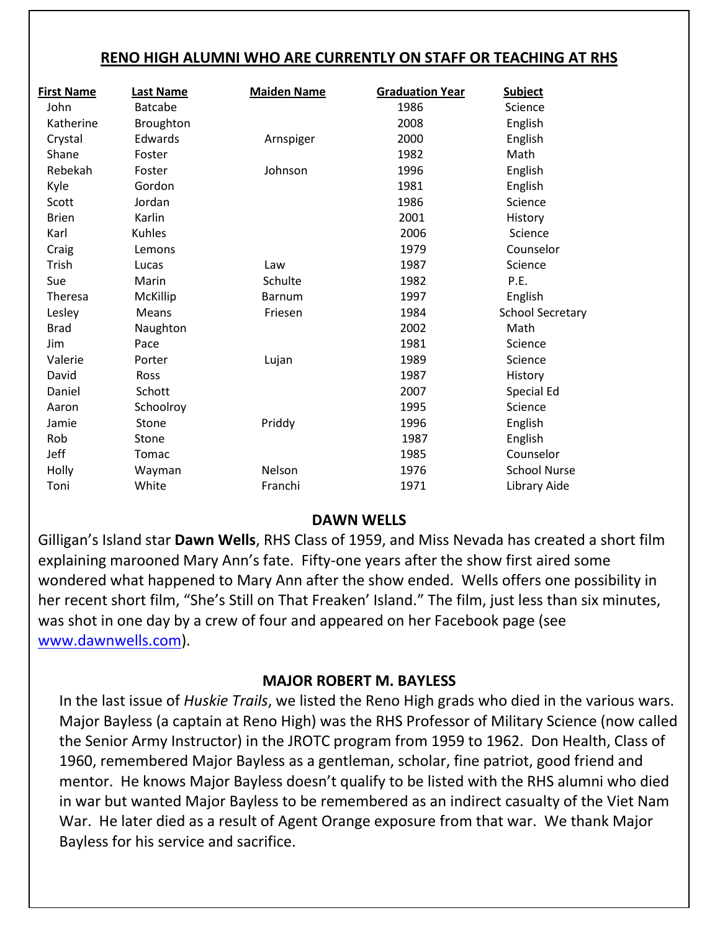#### **RENO HIGH ALUMNI WHO ARE CURRENTLY ON STAFF OR TEACHING AT RHS**

| <b>Last Name</b> | <b>Maiden Name</b> | <b>Graduation Year</b> | <b>Subject</b>          |  |
|------------------|--------------------|------------------------|-------------------------|--|
| <b>Batcabe</b>   |                    | 1986                   | Science                 |  |
| Broughton        |                    | 2008                   | English                 |  |
| Edwards          | Arnspiger          | 2000                   | English                 |  |
| Foster           |                    | 1982                   | Math                    |  |
| Foster           | Johnson            | 1996                   | English                 |  |
| Gordon           |                    | 1981                   | English                 |  |
| Jordan           |                    | 1986                   | Science                 |  |
| Karlin           |                    | 2001                   | History                 |  |
| Kuhles           |                    | 2006                   | Science                 |  |
| Lemons           |                    | 1979                   | Counselor               |  |
| Lucas            | Law                | 1987                   | Science                 |  |
| Marin            | Schulte            | 1982                   | P.E.                    |  |
| <b>McKillip</b>  | <b>Barnum</b>      | 1997                   | English                 |  |
| Means            | Friesen            | 1984                   | <b>School Secretary</b> |  |
| Naughton         |                    | 2002                   | Math                    |  |
| Pace             |                    | 1981                   | Science                 |  |
| Porter           | Lujan              | 1989                   | Science                 |  |
| Ross             |                    | 1987                   | History                 |  |
| Schott           |                    | 2007                   | Special Ed              |  |
| Schoolroy        |                    | 1995                   | Science                 |  |
| Stone            | Priddy             | 1996                   | English                 |  |
| Stone            |                    | 1987                   | English                 |  |
| Tomac            |                    | 1985                   | Counselor               |  |
| Wayman           | Nelson             | 1976                   | <b>School Nurse</b>     |  |
| White            | Franchi            | 1971                   | Library Aide            |  |
|                  |                    |                        |                         |  |

#### **DAWN WELLS**

Gilligan's Island star **Dawn Wells**, RHS Class of 1959, and Miss Nevada has created a short film explaining marooned Mary Ann's fate. Fifty-one years after the show first aired some wondered what happened to Mary Ann after the show ended. Wells offers one possibility in her recent short film, "She's Still on That Freaken' Island." The film, just less than six minutes, was shot in one day by a crew of four and appeared on her Facebook page (see [www.dawnwells.com\)](http://www.dawnwells.com/).

### **MAJOR ROBERT M. BAYLESS**

In the last issue of *Huskie Trails*, we listed the Reno High grads who died in the various wars. Major Bayless (a captain at Reno High) was the RHS Professor of Military Science (now called the Senior Army Instructor) in the JROTC program from 1959 to 1962. Don Health, Class of 1960, remembered Major Bayless as a gentleman, scholar, fine patriot, good friend and mentor. He knows Major Bayless doesn't qualify to be listed with the RHS alumni who died in war but wanted Major Bayless to be remembered as an indirect casualty of the Viet Nam War. He later died as a result of Agent Orange exposure from that war. We thank Major Bayless for his service and sacrifice.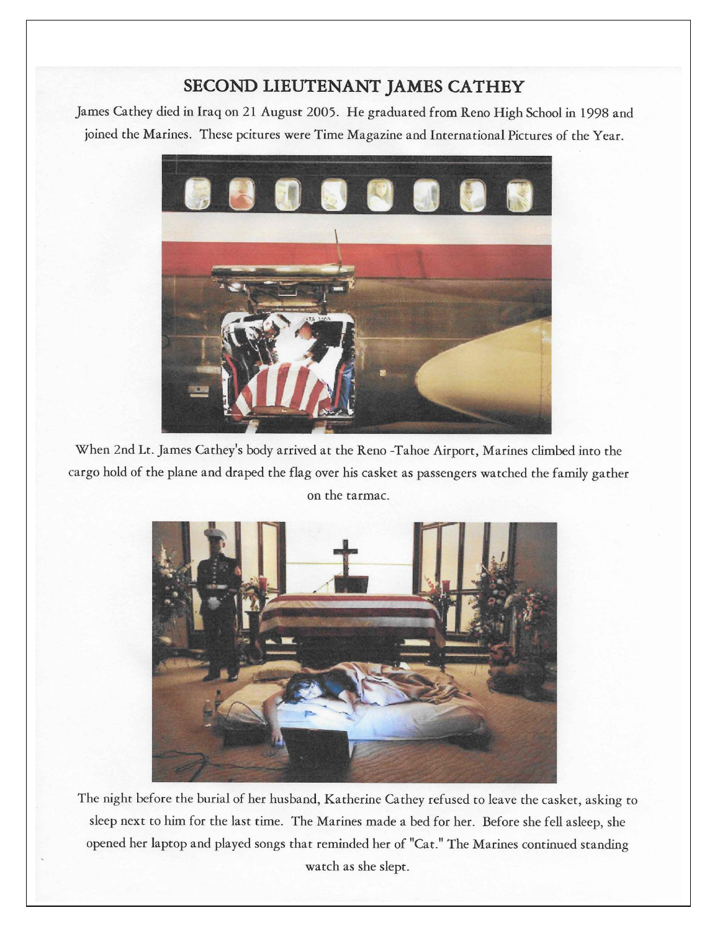### SECOND LIEUTENANT JAMES CATHEY

James Cathey died in Iraq on 21 August 2005. He graduated from Reno High School in 1998 and joined the Marines. These pcitures were Time Magazine and International Pictures of the Year.



When 2nd Lt. James Cathey's body arrived at the Reno -Tahoe Airport, Marines climbed into the cargo hold of the plane and draped the flag over his casket as passengers watched the family gather on the tarmac.



The night before the burial of her husband, Katherine Cathey refused to leave the casket, asking to sleep next to him for the last time. The Marines made a bed for her. Before she fell asleep, she opened her laptop and played songs that reminded her of "Cat." The Marines continued standing watch as she slept.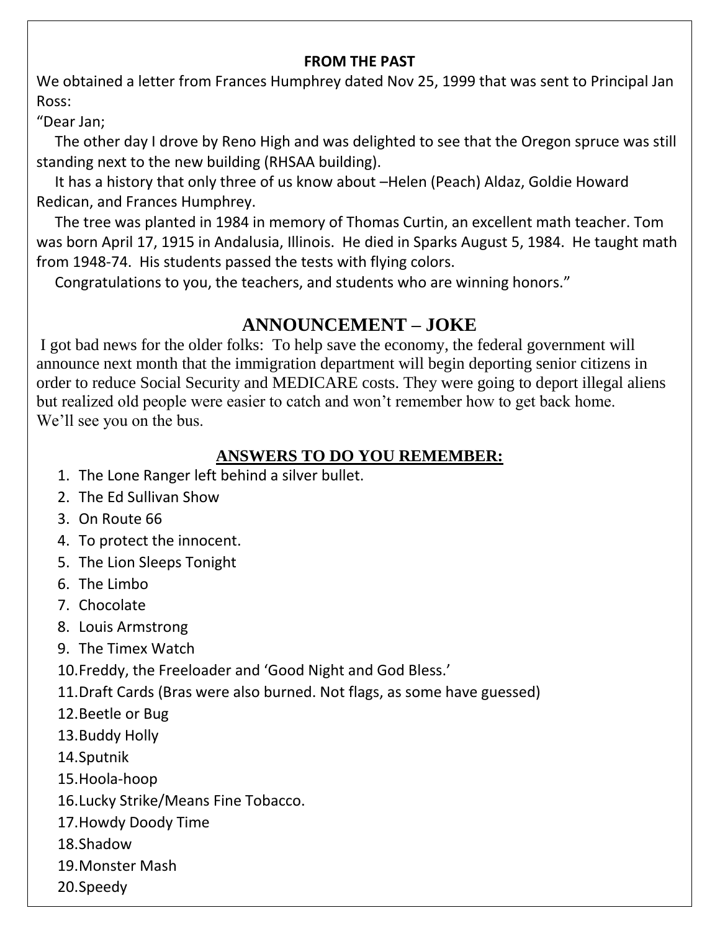#### **FROM THE PAST**

We obtained a letter from Frances Humphrey dated Nov 25, 1999 that was sent to Principal Jan Ross:

"Dear Jan;

 The other day I drove by Reno High and was delighted to see that the Oregon spruce was still standing next to the new building (RHSAA building).

 It has a history that only three of us know about –Helen (Peach) Aldaz, Goldie Howard Redican, and Frances Humphrey.

 The tree was planted in 1984 in memory of Thomas Curtin, an excellent math teacher. Tom was born April 17, 1915 in Andalusia, Illinois. He died in Sparks August 5, 1984. He taught math from 1948-74. His students passed the tests with flying colors.

Congratulations to you, the teachers, and students who are winning honors."

# **ANNOUNCEMENT – JOKE**

I got bad news for the older folks: To help save the economy, the federal government will announce next month that the immigration department will begin deporting senior citizens in order to reduce Social Security and MEDICARE costs. They were going to deport illegal aliens but realized old people were easier to catch and won't remember how to get back home. We'll see you on the bus.

## **ANSWERS TO DO YOU REMEMBER:**

- 1. The Lone Ranger left behind a silver bullet.
- 2. The Ed Sullivan Show
- 3. On Route 66
- 4. To protect the innocent.
- 5. The Lion Sleeps Tonight
- 6. The Limbo
- 7. Chocolate
- 8. Louis Armstrong
- 9. The Timex Watch
- 10.Freddy, the Freeloader and 'Good Night and God Bless.'
- 11.Draft Cards (Bras were also burned. Not flags, as some have guessed)
- 12.Beetle or Bug
- 13.Buddy Holly
- 14.Sputnik
- 15.Hoola-hoop
- 16.Lucky Strike/Means Fine Tobacco.
- 17.Howdy Doody Time
- 18.Shadow
- 19.Monster Mash
- 20.Speedy